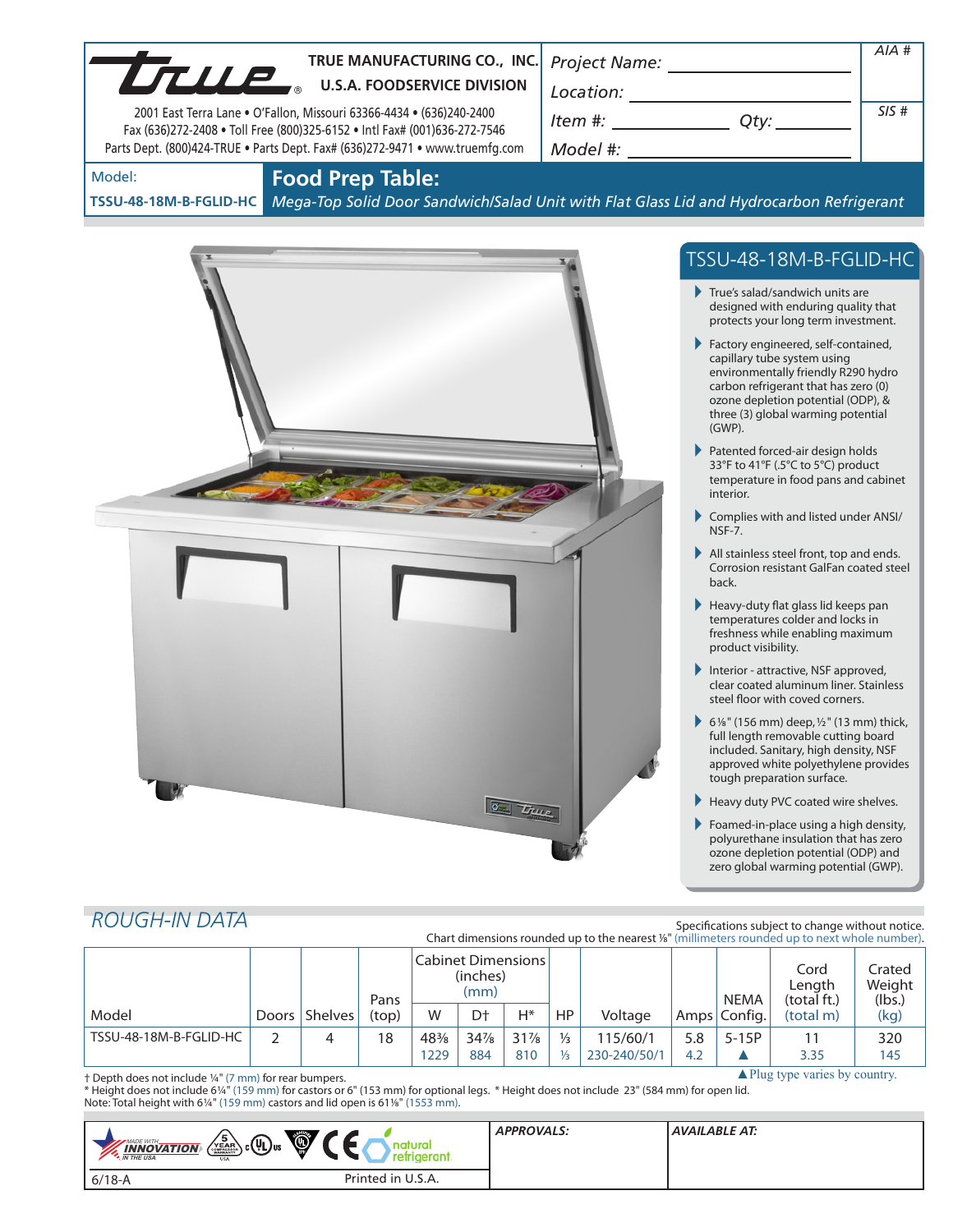| True                             | TRUE MANUFACTURING CO., INC.<br><b>U.S.A. FOODSERVICE DIVISION</b><br>2001 East Terra Lane • O'Fallon, Missouri 63366-4434 • (636)240-2400<br>Fax (636)272-2408 . Toll Free (800)325-6152 . Intl Fax# (001)636-272-7546<br>Parts Dept. (800)424-TRUE . Parts Dept. Fax# (636)272-9471 . www.truemfg.com | Project Name:<br>Location:<br>Item #:<br>Qty:<br>Model #:                                        | AIA #<br>SIS# |
|----------------------------------|---------------------------------------------------------------------------------------------------------------------------------------------------------------------------------------------------------------------------------------------------------------------------------------------------------|--------------------------------------------------------------------------------------------------|---------------|
| Model:<br>TSSU-48-18M-B-FGLID-HC | <b>Food Prep Table:</b>                                                                                                                                                                                                                                                                                 | Mega-Top Solid Door Sandwich/Salad Unit with Flat Glass Lid and Hydrocarbon Refrigerant          |               |
|                                  |                                                                                                                                                                                                                                                                                                         | TSSU-48-18M-B-FGLID-HC<br>True's salad/sandwich units are<br>designed with enduring quality that |               |

Factory engineered, self-contained, capillary tube system using environmentally friendly R290 hydro carbon refrigerant that has zero (0) ozone depletion potential (ODP), & three (3) global warming potential (GWP).

protects your long term investment.

- Patented forced-air design holds 33°F to 41°F (.5°C to 5°C) product temperature in food pans and cabinet interior.
- Complies with and listed under ANSI/ NSF-7.
- All stainless steel front, top and ends. Corrosion resistant GalFan coated steel back.
- Heavy-duty flat glass lid keeps pan temperatures colder and locks in freshness while enabling maximum product visibility.
- Interior attractive, NSF approved, clear coated aluminum liner. Stainless steel floor with coved corners.
- 6<sup>1</sup>/<sub>8</sub>" (156 mm) deep,  $1/2$ " (13 mm) thick, full length removable cutting board included. Sanitary, high density, NSF approved white polyethylene provides tough preparation surface.
- Heavy duty PVC coated wire shelves.
- Foamed-in-place using a high density, polyurethane insulation that has zero ozone depletion potential (ODP) and zero global warming potential (GWP).

# *ROUGH-IN DATA*

Specifications subject to change without notice. Chart dimensions rounded up to the nearest <sup>1</sup>/8" (millimeters rounded up to next whole number).

|                                                                                                               |       |         | Pans  | Cabinet Dimensions<br>(inches)<br>(mm) |     |        |               |              | <b>NEMA</b> | Cord<br>Length<br>(total ft.) | Crated<br>Weight<br>(lbs.) |      |
|---------------------------------------------------------------------------------------------------------------|-------|---------|-------|----------------------------------------|-----|--------|---------------|--------------|-------------|-------------------------------|----------------------------|------|
| Model                                                                                                         | Doors | Shelves | (top) | W                                      | D†  | Н*     | <b>HP</b>     | Voltage      |             | Amps Config.                  | (total m)                  | (kg) |
| TSSU-48-18M-B-FGLID-HC                                                                                        |       | 4       | 18    | 48%                                    | 34% | $31\%$ | $\frac{1}{3}$ | 115/60/1     | 5.8         | $5-15P$                       |                            | 320  |
|                                                                                                               |       |         |       | 1229                                   | 884 | 810    | $\frac{1}{3}$ | 230-240/50/1 | 4.2         |                               | 3.35                       | 145  |
| $\triangle$ Plug type varies by country.<br><sup>+</sup> Depth does not include 1/4" (7 mm) for rear bumpers. |       |         |       |                                        |     |        |               |              |             |                               |                            |      |

**C** True

† Depth does not include 1/4" (7 mm) for rear bumpers.

\* Height does not include 61/4" (159 mm) for castors or 6" (153 mm) for optional legs. \* Height does not include 23" (584 mm) for open lid. Note: Total height with 61/4" (159 mm) castors and lid open is 611/8" (1553 mm).

| û,<br>$\left(\frac{5}{45.00}\right)$ c $\left(\frac{1}{4}\right)$ us<br>MADE WITH.<br>nar<br>$\frac{INNOVATION}{N THE USA}$<br>retrigerant.<br><b>USA</b> | <b>APPROVALS:</b> | AVAILABLE AT: |
|-----------------------------------------------------------------------------------------------------------------------------------------------------------|-------------------|---------------|
| Printed in U.S.A.<br>$6/18 - A$                                                                                                                           |                   |               |